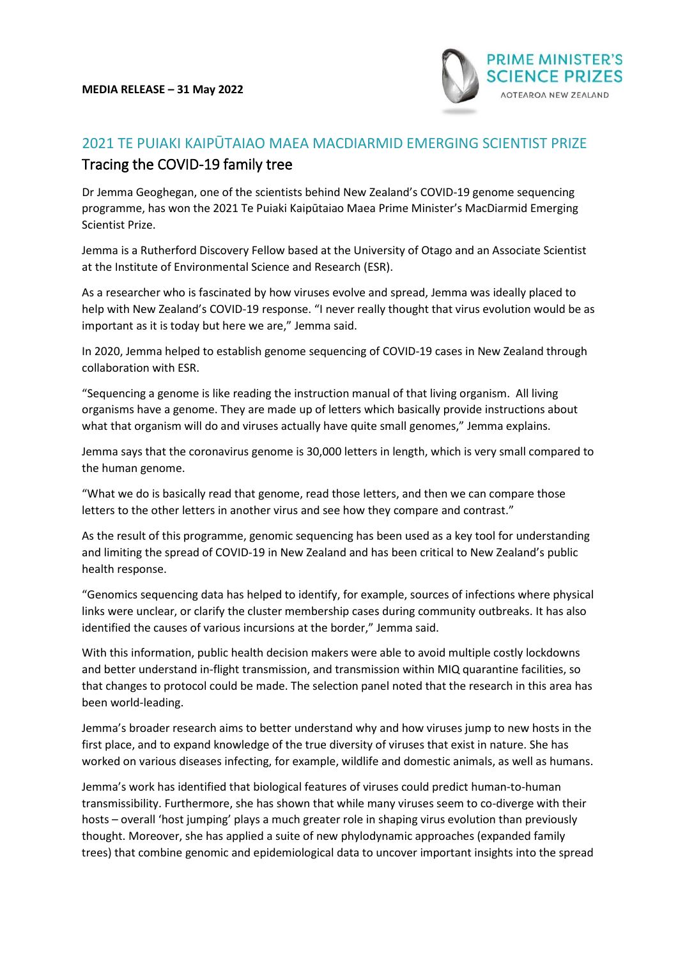

## 2021 TE PUIAKI KAIPŪTAIAO MAEA MACDIARMID EMERGING SCIENTIST PRIZE Tracing the COVID-19 family tree

Dr Jemma Geoghegan, one of the scientists behind New Zealand's COVID-19 genome sequencing programme, has won the 2021 Te Puiaki Kaipūtaiao Maea Prime Minister's MacDiarmid Emerging Scientist Prize.

Jemma is a Rutherford Discovery Fellow based at the University of Otago and an Associate Scientist at the Institute of Environmental Science and Research (ESR).

As a researcher who is fascinated by how viruses evolve and spread, Jemma was ideally placed to help with New Zealand's COVID-19 response. "I never really thought that virus evolution would be as important as it is today but here we are," Jemma said.

In 2020, Jemma helped to establish genome sequencing of COVID-19 cases in New Zealand through collaboration with ESR.

"Sequencing a genome is like reading the instruction manual of that living organism. All living organisms have a genome. They are made up of letters which basically provide instructions about what that organism will do and viruses actually have quite small genomes," Jemma explains.

Jemma says that the coronavirus genome is 30,000 letters in length, which is very small compared to the human genome.

"What we do is basically read that genome, read those letters, and then we can compare those letters to the other letters in another virus and see how they compare and contrast."

As the result of this programme, genomic sequencing has been used as a key tool for understanding and limiting the spread of COVID-19 in New Zealand and has been critical to New Zealand's public health response.

"Genomics sequencing data has helped to identify, for example, sources of infections where physical links were unclear, or clarify the cluster membership cases during community outbreaks. It has also identified the causes of various incursions at the border," Jemma said.

With this information, public health decision makers were able to avoid multiple costly lockdowns and better understand in-flight transmission, and transmission within MIQ quarantine facilities, so that changes to protocol could be made. The selection panel noted that the research in this area has been world-leading.

Jemma's broader research aims to better understand why and how viruses jump to new hosts in the first place, and to expand knowledge of the true diversity of viruses that exist in nature. She has worked on various diseases infecting, for example, wildlife and domestic animals, as well as humans.

Jemma's work has identified that biological features of viruses could predict human-to-human transmissibility. Furthermore, she has shown that while many viruses seem to co-diverge with their hosts – overall 'host jumping' plays a much greater role in shaping virus evolution than previously thought. Moreover, she has applied a suite of new phylodynamic approaches (expanded family trees) that combine genomic and epidemiological data to uncover important insights into the spread